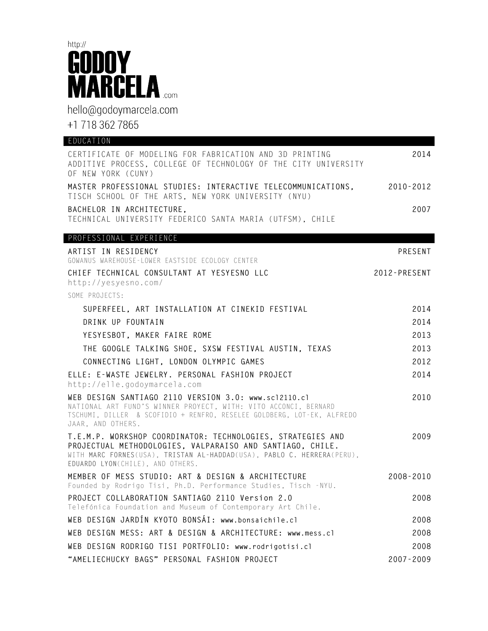

hello@godoymarcela.com

+1 718 362 7865

| EDUCATION                                                                                                                                                                                                                              |               |
|----------------------------------------------------------------------------------------------------------------------------------------------------------------------------------------------------------------------------------------|---------------|
| CERTIFICATE OF MODELING FOR FABRICATION AND 3D PRINTING<br>ADDITIVE PROCESS, COLLEGE OF TECHNOLOGY OF THE CITY UNIVERSITY<br>OF NEW YORK (CUNY)                                                                                        | 2014          |
| MASTER PROFESSIONAL STUDIES: INTERACTIVE TELECOMMUNICATIONS,<br>TISCH SCHOOL OF THE ARTS, NEW YORK UNIVERSITY (NYU)                                                                                                                    | 2010-2012     |
| BACHELOR IN ARCHITECTURE,<br>TECHNICAL UNIVERSITY FEDERICO SANTA MARIA (UTFSM), CHILE                                                                                                                                                  | 2007          |
| PROFESSIONAL EXPERIENCE                                                                                                                                                                                                                |               |
| ARTIST IN RESIDENCY                                                                                                                                                                                                                    | PRESENT       |
| GOWANUS WAREHOUSE-LOWER EASTSIDE ECOLOGY CENTER                                                                                                                                                                                        |               |
| CHIEF TECHNICAL CONSULTANT AT YESYESNO LLC<br>http://yesyesno.com/                                                                                                                                                                     | 2012-PRESENT  |
| SOME PROJECTS:                                                                                                                                                                                                                         |               |
| SUPERFEEL, ART INSTALLATION AT CINEKID FESTIVAL                                                                                                                                                                                        | 2014          |
| DRINK UP FOUNTAIN                                                                                                                                                                                                                      | 2014          |
| YESYESBOT, MAKER FAIRE ROME                                                                                                                                                                                                            | 2013          |
| THE GOOGLE TALKING SHOE, SXSW FESTIVAL AUSTIN, TEXAS                                                                                                                                                                                   | 2013          |
| CONNECTING LIGHT, LONDON OLYMPIC GAMES                                                                                                                                                                                                 | 2012          |
| ELLE: E-WASTE JEWELRY. PERSONAL FASHION PROJECT                                                                                                                                                                                        | 2014          |
| http://elle.godoymarcela.com                                                                                                                                                                                                           |               |
| WEB DESIGN SANTIAGO 2110 VERSION 3.0: www.sc12110.cl<br>NATIONAL ART FUND'S WINNER PROYECT, WITH: VITO ACCONCI, BERNARD<br>TSCHUMI, DILLER & SCOFIDIO + RENFRO, RESELEE GOLDBERG, LOT-EK, ALFREDO<br>JAAR, AND OTHERS.                 | 2010          |
| T.E.M.P. WORKSHOP COORDINATOR: TECHNOLOGIES, STRATEGIES AND<br>PROJECTUAL METHODOLOGIES, VALPARAISO AND SANTIAGO, CHILE.<br>WITH MARC FORNES(USA), TRISTAN AL-HADDAD(USA), PABLO C. HERRERA(PERU),<br>EDUARDO LYON(CHILE), AND OTHERS. | 2009          |
| MEMBER OF MESS STUDIO: ART & DESIGN & ARCHITECTURE<br>Founded by Rodrigo Tisi, Ph.D. Performance Studies, Tisch -NYU.                                                                                                                  | $2008 - 2010$ |
| PROJECT COLLABORATION SANTIAGO 2110 Version 2.0<br>Telefónica Foundation and Museum of Contemporary Art Chile.                                                                                                                         | 2008          |
| WEB DESIGN JARDÍN KYOTO BONSÁI: www.bonsaichile.cl                                                                                                                                                                                     | 2008          |
| WEB DESIGN MESS: ART & DESIGN & ARCHITECTURE: www.mess.cl                                                                                                                                                                              | 2008          |
| WEB DESIGN RODRIGO TISI PORTFOLIO: www.rodrigotisi.cl                                                                                                                                                                                  | 2008          |
| "AMELIECHUCKY BAGS" PERSONAL FASHION PROJECT                                                                                                                                                                                           | 2007-2009     |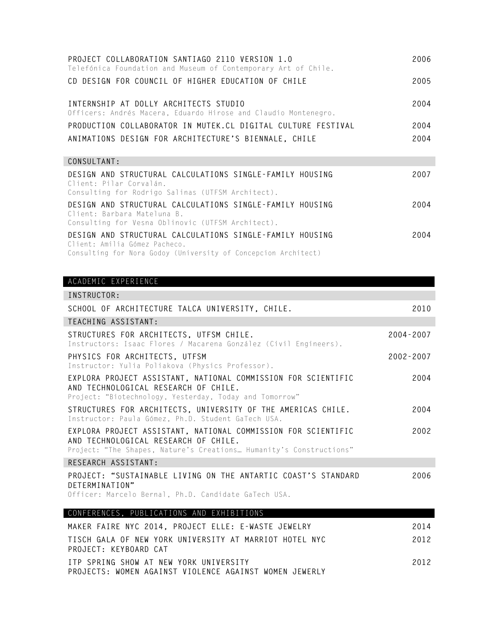| PROJECT COLLABORATION SANTIAGO 2110 VERSION 1.0<br>Telefónica Foundation and Museum of Contemporary Art of Chile.                            | 2006 |
|----------------------------------------------------------------------------------------------------------------------------------------------|------|
| CD DESIGN FOR COUNCIL OF HIGHER EDUCATION OF CHILE                                                                                           | 2005 |
| INTERNSHIP AT DOLLY ARCHITECTS STUDIO<br>Officers: Andrés Macera, Eduardo Hirose and Claudio Montenegro.                                     | 2004 |
| PRODUCTION COLLABORATOR IN MUTEK.CL DIGITAL CULTURE FESTIVAL                                                                                 | 2004 |
| ANIMATIONS DESIGN FOR ARCHITECTURE'S BIENNALE, CHILE                                                                                         | 2004 |
| CONSULTANT:                                                                                                                                  |      |
| DESIGN AND STRUCTURAL CALCULATIONS SINGLE-FAMILY HOUSING<br>Client: Pilar Corvalán.<br>Consulting for Rodrigo Salinas (UTFSM Architect).     | 2007 |
| DESIGN AND STRUCTURAL CALCULATIONS SINGLE-FAMILY HOUSING<br>Client: Barbara Mateluna B.<br>Consulting for Vesna Oblinovic (UTFSM Architect). | 2004 |
| DESIGN AND STRUCTURAL CALCULATIONS SINGLE-FAMILY HOUSING<br>Client: Amilia Gómez Pacheco.                                                    | 2004 |

Consulting for Nora Godoy (University of Concepcion Architect)

## ACADEMIC EXPERIENCE

| INSTRUCTOR:                                                                                                                                                                         |               |  |  |
|-------------------------------------------------------------------------------------------------------------------------------------------------------------------------------------|---------------|--|--|
| SCHOOL OF ARCHITECTURE TALCA UNIVERSITY, CHILE.                                                                                                                                     | 2010          |  |  |
| TEACHING ASSISTANT:                                                                                                                                                                 |               |  |  |
| STRUCTURES FOR ARCHITECTS, UTFSM CHILE.<br>Instructors: Isaac Flores / Macarena González (Civil Engineers).                                                                         | $2004 - 2007$ |  |  |
| PHYSICS FOR ARCHITECTS, UTFSM<br>Instructor: Yulia Poliakova (Physics Professor).                                                                                                   | $2002 - 2007$ |  |  |
| EXPLORA PROJECT ASSISTANT, NATIONAL COMMISSION FOR SCIENTIFIC<br>AND TECHNOLOGICAL RESEARCH OF CHILE.<br>Project: "Biotechnology, Yesterday, Today and Tomorrow"                    | 2004          |  |  |
| STRUCTURES FOR ARCHITECTS, UNIVERSITY OF THE AMERICAS CHILE.<br>Instructor: Paula Gómez, Ph.D. Student GaTech USA.                                                                  | 2004          |  |  |
| EXPLORA PROJECT ASSISTANT, NATIONAL COMMISSION FOR SCIENTIFIC<br>2002<br>AND TECHNOLOGICAL RESEARCH OF CHILE.<br>Project: "The Shapes, Nature's Creations Humanity's Constructions" |               |  |  |
| RESEARCH ASSISTANT:                                                                                                                                                                 |               |  |  |
| PROJECT: "SUSTAINABLE LIVING ON THE ANTARTIC COAST'S STANDARD<br>DETERMINATION"<br>Officer: Marcelo Bernal, Ph.D. Candidate GaTech USA.                                             | 2006          |  |  |
| CONFERENCES, PUBLICATIONS AND EXHIBITIONS                                                                                                                                           |               |  |  |
| MAKER FAIRE NYC 2014, PROJECT ELLE: E-WASTE JEWELRY                                                                                                                                 | 2014          |  |  |
| TISCH GALA OF NEW YORK UNIVERSITY AT MARRIOT HOTEL NYC<br>PROJECT: KEYBOARD CAT                                                                                                     | 2012          |  |  |

**ITP SPRING SHOW AT NEW YORK UNIVERSITY PROJECTS: WOMEN AGAINST VIOLENCE AGAINST WOMEN JEWERLY**

**2012**